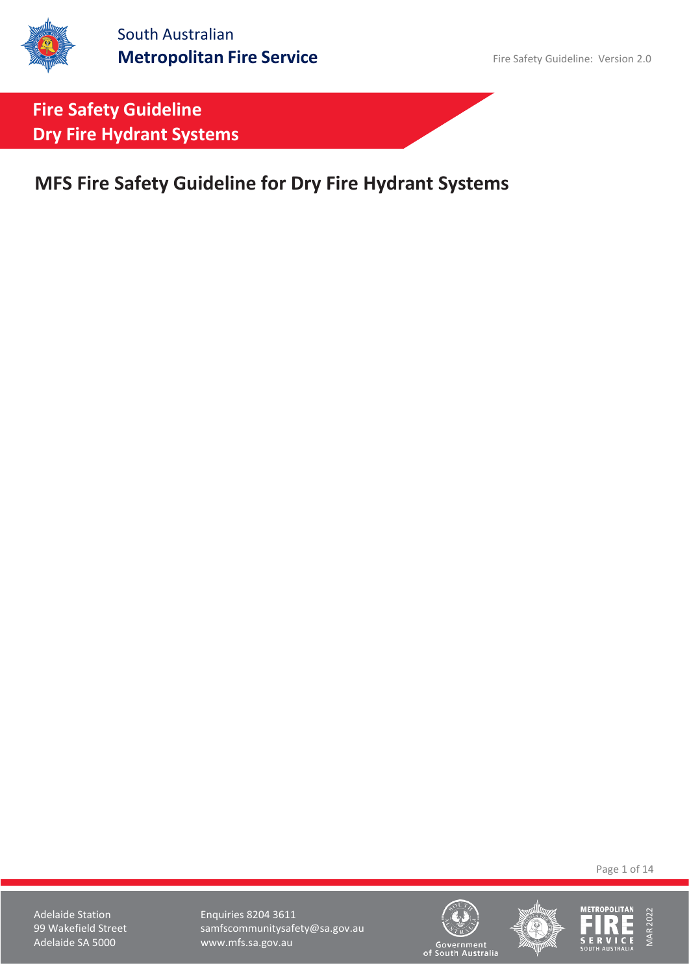**MFS Fire Safety Guideline for Dry Fire Hydrant Systems**

Page 1 of 14





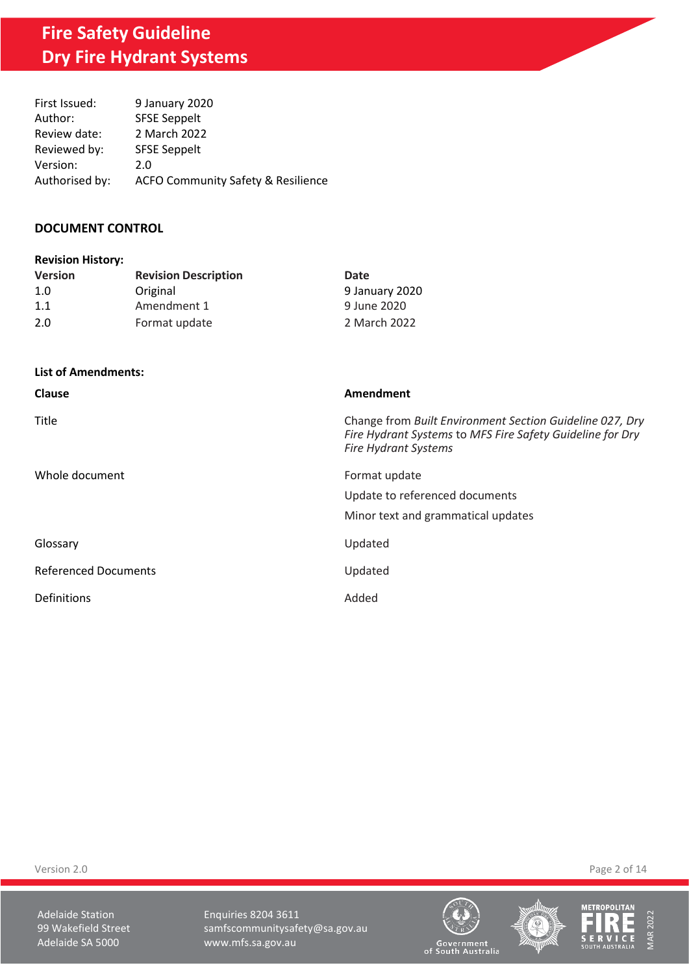| First Issued:  | 9 January 2020                                |
|----------------|-----------------------------------------------|
| Author:        | <b>SFSE Seppelt</b>                           |
| Review date:   | 2 March 2022                                  |
| Reviewed by:   | <b>SFSE Seppelt</b>                           |
| Version:       | 2.0                                           |
| Authorised by: | <b>ACFO Community Safety &amp; Resilience</b> |

### **DOCUMENT CONTROL**

| <b>Revision History:</b> |                             |                |  |  |
|--------------------------|-----------------------------|----------------|--|--|
| <b>Version</b>           | <b>Revision Description</b> | Date           |  |  |
| 1.0                      | Original                    | 9 January 2020 |  |  |
| 1.1                      | Amendment 1                 | 9 June 2020    |  |  |
| 2.0                      | Format update               | 2 March 2022   |  |  |

**List of Amendments:**

| Clause                      | Amendment                                                                                                                                            |
|-----------------------------|------------------------------------------------------------------------------------------------------------------------------------------------------|
| Title                       | Change from Built Environment Section Guideline 027, Dry<br>Fire Hydrant Systems to MFS Fire Safety Guideline for Dry<br><b>Fire Hydrant Systems</b> |
| Whole document              | Format update<br>Update to referenced documents<br>Minor text and grammatical updates                                                                |
| Glossary                    | Updated                                                                                                                                              |
| <b>Referenced Documents</b> | Updated                                                                                                                                              |
| Definitions                 | Added                                                                                                                                                |

Version 2.0 Page 2 of 14

Adelaide Station **Enquiries 8204 3611** 99 Wakefield Street samfscommunitysafety@sa.gov.au<br>Adelaide SA 5000 www.mfs.sa.gov.au www.mfs.sa.gov.au







Government<br>of South Australia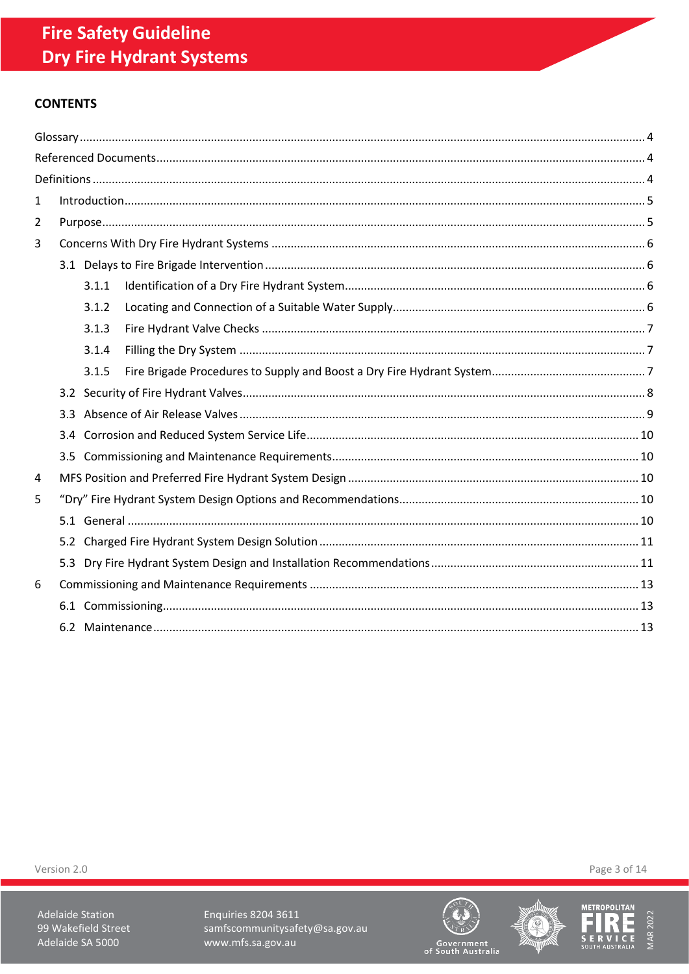# **CONTENTS**

| $\mathbf 1$ |       |  |
|-------------|-------|--|
| 2           |       |  |
| 3           |       |  |
|             |       |  |
|             | 3.1.1 |  |
|             | 3.1.2 |  |
|             | 3.1.3 |  |
|             | 3.1.4 |  |
|             | 3.1.5 |  |
|             |       |  |
|             |       |  |
|             |       |  |
|             |       |  |
| 4           |       |  |
| 5           |       |  |
|             |       |  |
|             |       |  |
|             |       |  |
| 6           |       |  |
|             |       |  |
|             |       |  |

Version 2.0

Adelaide Station 99 Wakefield Street Adelaide SA 5000

**Enquiries 8204 3611** samfscommunitysafety@sa.gov.au www.mfs.sa.gov.au







Page 3 of 14

Government<br>of South Australia

F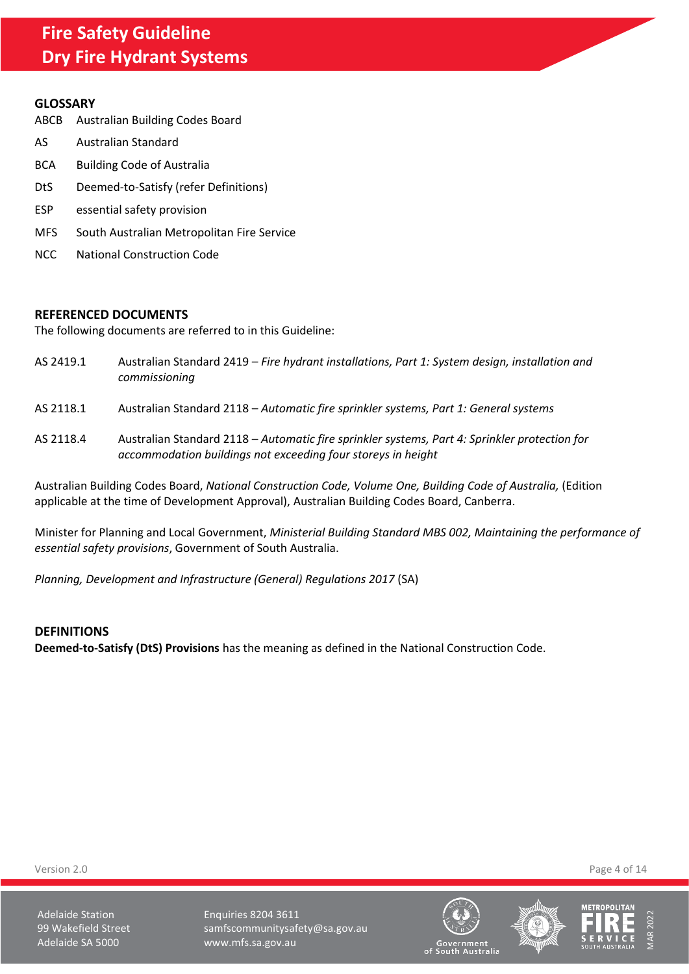#### <span id="page-3-0"></span>**GLOSSARY**

- ABCB Australian Building Codes Board
- AS Australian Standard
- BCA Building Code of Australia
- DtS Deemed-to-Satisfy (refer Definitions)
- ESP essential safety provision
- MFS South Australian Metropolitan Fire Service
- NCC National Construction Code

#### <span id="page-3-1"></span>**REFERENCED DOCUMENTS**

The following documents are referred to in this Guideline:

- AS 2419.1 Australian Standard 2419 *Fire hydrant installations, Part 1: System design, installation and commissioning*
- AS 2118.1 Australian Standard 2118 *Automatic fire sprinkler systems, Part 1: General systems*
- AS 2118.4 Australian Standard 2118 *Automatic fire sprinkler systems, Part 4: Sprinkler protection for accommodation buildings not exceeding four storeys in height*

Australian Building Codes Board, *National Construction Code, Volume One, Building Code of Australia,* (Edition applicable at the time of Development Approval), Australian Building Codes Board, Canberra.

Minister for Planning and Local Government, *Ministerial Building Standard MBS 002, Maintaining the performance of essential safety provisions*, Government of South Australia.

*Planning, Development and Infrastructure (General) Regulations 2017* (SA)

### <span id="page-3-2"></span>**DEFINITIONS**

**Deemed-to-Satisfy (DtS) Provisions** has the meaning as defined in the National Construction Code.

Version 2.0 Page 4 of 14

Adelaide Station **Enquiries 8204 3611** 99 Wakefield Street samfscommunitysafety@sa.gov.au Adelaide SA 5000 www.mfs.sa.gov.au







vernment<br>uth Australia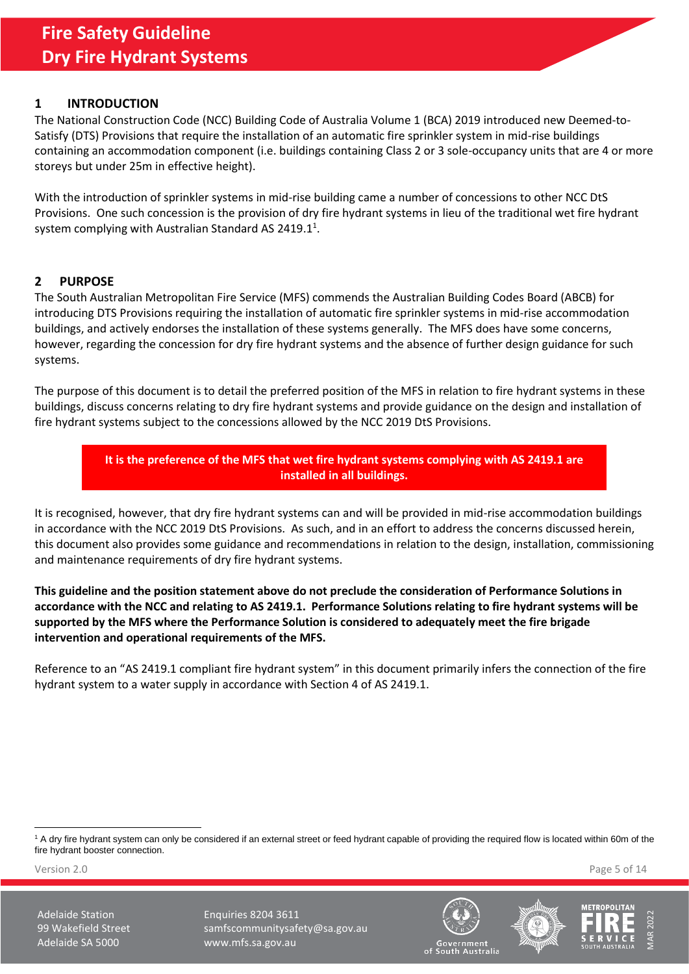## <span id="page-4-0"></span>**1 INTRODUCTION**

The National Construction Code (NCC) Building Code of Australia Volume 1 (BCA) 2019 introduced new Deemed-to-Satisfy (DTS) Provisions that require the installation of an automatic fire sprinkler system in mid-rise buildings containing an accommodation component (i.e. buildings containing Class 2 or 3 sole-occupancy units that are 4 or more storeys but under 25m in effective height).

With the introduction of sprinkler systems in mid-rise building came a number of concessions to other NCC DtS Provisions. One such concession is the provision of dry fire hydrant systems in lieu of the traditional wet fire hydrant system complying with Australian Standard AS 2419.1<sup>1</sup>.

## <span id="page-4-1"></span>**2 PURPOSE**

The South Australian Metropolitan Fire Service (MFS) commends the Australian Building Codes Board (ABCB) for introducing DTS Provisions requiring the installation of automatic fire sprinkler systems in mid-rise accommodation buildings, and actively endorses the installation of these systems generally. The MFS does have some concerns, however, regarding the concession for dry fire hydrant systems and the absence of further design guidance for such systems.

The purpose of this document is to detail the preferred position of the MFS in relation to fire hydrant systems in these buildings, discuss concerns relating to dry fire hydrant systems and provide guidance on the design and installation of fire hydrant systems subject to the concessions allowed by the NCC 2019 DtS Provisions.

> **It is the preference of the MFS that wet fire hydrant systems complying with AS 2419.1 are installed in all buildings.**

It is recognised, however, that dry fire hydrant systems can and will be provided in mid-rise accommodation buildings in accordance with the NCC 2019 DtS Provisions. As such, and in an effort to address the concerns discussed herein, this document also provides some guidance and recommendations in relation to the design, installation, commissioning and maintenance requirements of dry fire hydrant systems.

**This guideline and the position statement above do not preclude the consideration of Performance Solutions in accordance with the NCC and relating to AS 2419.1. Performance Solutions relating to fire hydrant systems will be supported by the MFS where the Performance Solution is considered to adequately meet the fire brigade intervention and operational requirements of the MFS.**

Reference to an "AS 2419.1 compliant fire hydrant system" in this document primarily infers the connection of the fire hydrant system to a water supply in accordance with Section 4 of AS 2419.1.

<sup>1</sup> A dry fire hydrant system can only be considered if an external street or feed hydrant capable of providing the required flow is located within 60m of the fire hydrant booster connection.

Version 2.0 Page 5 of 14





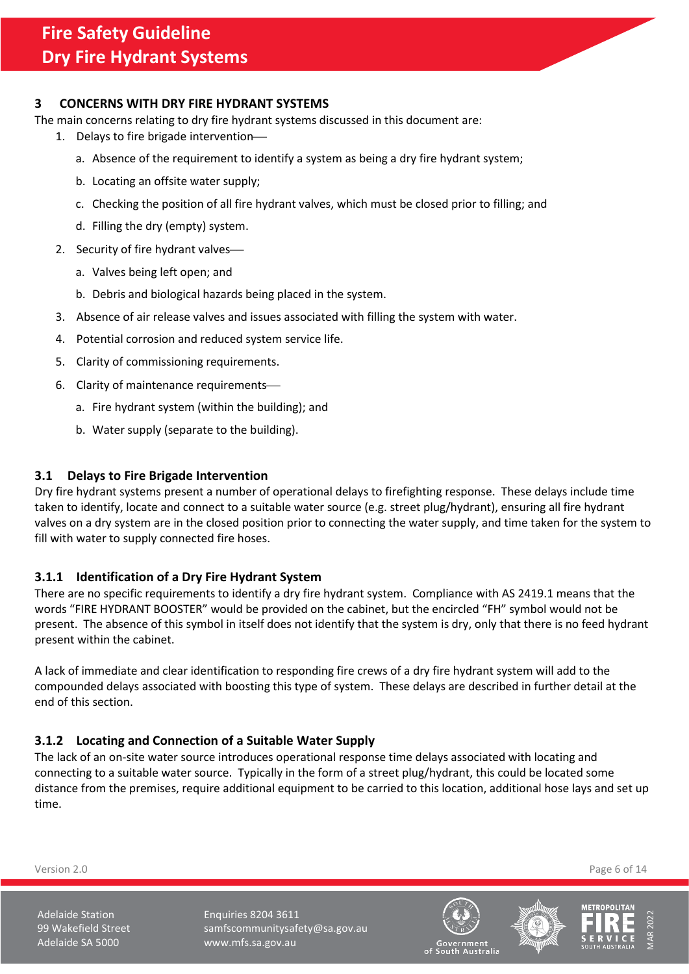## <span id="page-5-0"></span>**3 CONCERNS WITH DRY FIRE HYDRANT SYSTEMS**

The main concerns relating to dry fire hydrant systems discussed in this document are:

- 1. Delays to fire brigade intervention
	- a. Absence of the requirement to identify a system as being a dry fire hydrant system;
	- b. Locating an offsite water supply;
	- c. Checking the position of all fire hydrant valves, which must be closed prior to filling; and
	- d. Filling the dry (empty) system.
- 2. Security of fire hydrant valves
	- a. Valves being left open; and
	- b. Debris and biological hazards being placed in the system.
- 3. Absence of air release valves and issues associated with filling the system with water.
- 4. Potential corrosion and reduced system service life.
- 5. Clarity of commissioning requirements.
- 6. Clarity of maintenance requirements
	- a. Fire hydrant system (within the building); and
	- b. Water supply (separate to the building).

### <span id="page-5-1"></span>**3.1 Delays to Fire Brigade Intervention**

Dry fire hydrant systems present a number of operational delays to firefighting response. These delays include time taken to identify, locate and connect to a suitable water source (e.g. street plug/hydrant), ensuring all fire hydrant valves on a dry system are in the closed position prior to connecting the water supply, and time taken for the system to fill with water to supply connected fire hoses.

### <span id="page-5-2"></span>**3.1.1 Identification of a Dry Fire Hydrant System**

There are no specific requirements to identify a dry fire hydrant system. Compliance with AS 2419.1 means that the words "FIRE HYDRANT BOOSTER" would be provided on the cabinet, but the encircled "FH" symbol would not be present. The absence of this symbol in itself does not identify that the system is dry, only that there is no feed hydrant present within the cabinet.

A lack of immediate and clear identification to responding fire crews of a dry fire hydrant system will add to the compounded delays associated with boosting this type of system. These delays are described in further detail at the end of this section.

### <span id="page-5-3"></span>**3.1.2 Locating and Connection of a Suitable Water Supply**

The lack of an on-site water source introduces operational response time delays associated with locating and connecting to a suitable water source. Typically in the form of a street plug/hydrant, this could be located some distance from the premises, require additional equipment to be carried to this location, additional hose lays and set up time.

Version 2.0 Page 6 of 14





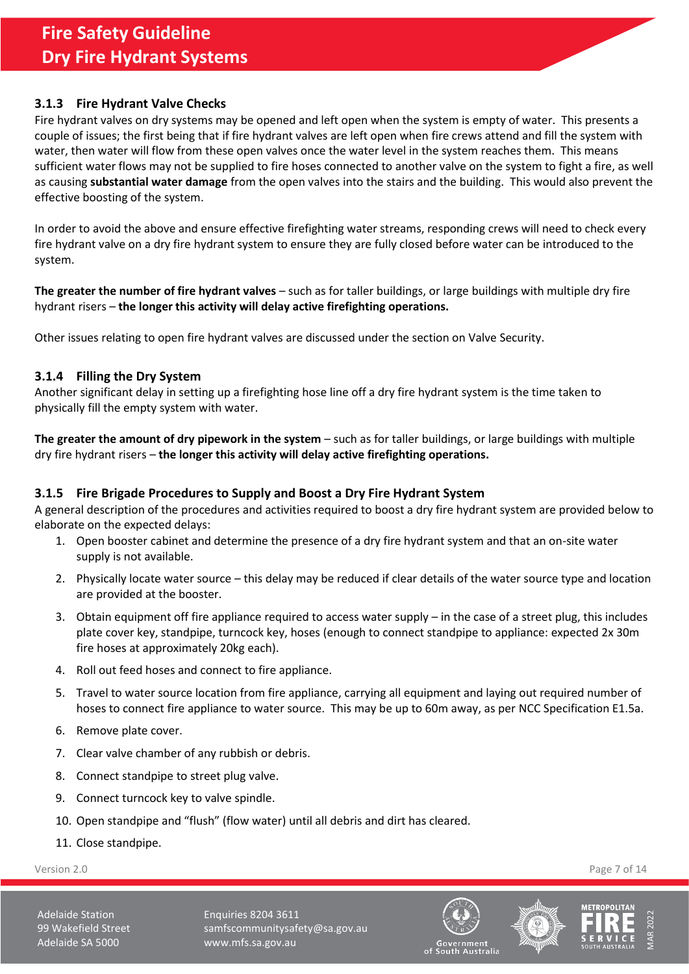## <span id="page-6-0"></span>**3.1.3 Fire Hydrant Valve Checks**

Fire hydrant valves on dry systems may be opened and left open when the system is empty of water. This presents a couple of issues; the first being that if fire hydrant valves are left open when fire crews attend and fill the system with water, then water will flow from these open valves once the water level in the system reaches them. This means sufficient water flows may not be supplied to fire hoses connected to another valve on the system to fight a fire, as well as causing **substantial water damage** from the open valves into the stairs and the building. This would also prevent the effective boosting of the system.

In order to avoid the above and ensure effective firefighting water streams, responding crews will need to check every fire hydrant valve on a dry fire hydrant system to ensure they are fully closed before water can be introduced to the system.

**The greater the number of fire hydrant valves** – such as for taller buildings, or large buildings with multiple dry fire hydrant risers – **the longer this activity will delay active firefighting operations.** 

Other issues relating to open fire hydrant valves are discussed under the section on Valve Security.

### <span id="page-6-1"></span>**3.1.4 Filling the Dry System**

Another significant delay in setting up a firefighting hose line off a dry fire hydrant system is the time taken to physically fill the empty system with water.

**The greater the amount of dry pipework in the system** – such as for taller buildings, or large buildings with multiple dry fire hydrant risers – **the longer this activity will delay active firefighting operations.**

## <span id="page-6-2"></span>**3.1.5 Fire Brigade Procedures to Supply and Boost a Dry Fire Hydrant System**

A general description of the procedures and activities required to boost a dry fire hydrant system are provided below to elaborate on the expected delays:

- 1. Open booster cabinet and determine the presence of a dry fire hydrant system and that an on-site water supply is not available.
- 2. Physically locate water source this delay may be reduced if clear details of the water source type and location are provided at the booster.
- 3. Obtain equipment off fire appliance required to access water supply in the case of a street plug, this includes plate cover key, standpipe, turncock key, hoses (enough to connect standpipe to appliance: expected 2x 30m fire hoses at approximately 20kg each).
- 4. Roll out feed hoses and connect to fire appliance.
- 5. Travel to water source location from fire appliance, carrying all equipment and laying out required number of hoses to connect fire appliance to water source. This may be up to 60m away, as per NCC Specification E1.5a.
- 6. Remove plate cover.
- 7. Clear valve chamber of any rubbish or debris.
- 8. Connect standpipe to street plug valve.
- 9. Connect turncock key to valve spindle.
- 10. Open standpipe and "flush" (flow water) until all debris and dirt has cleared.
- 11. Close standpipe.

Version 2.0 Page 7 of 14





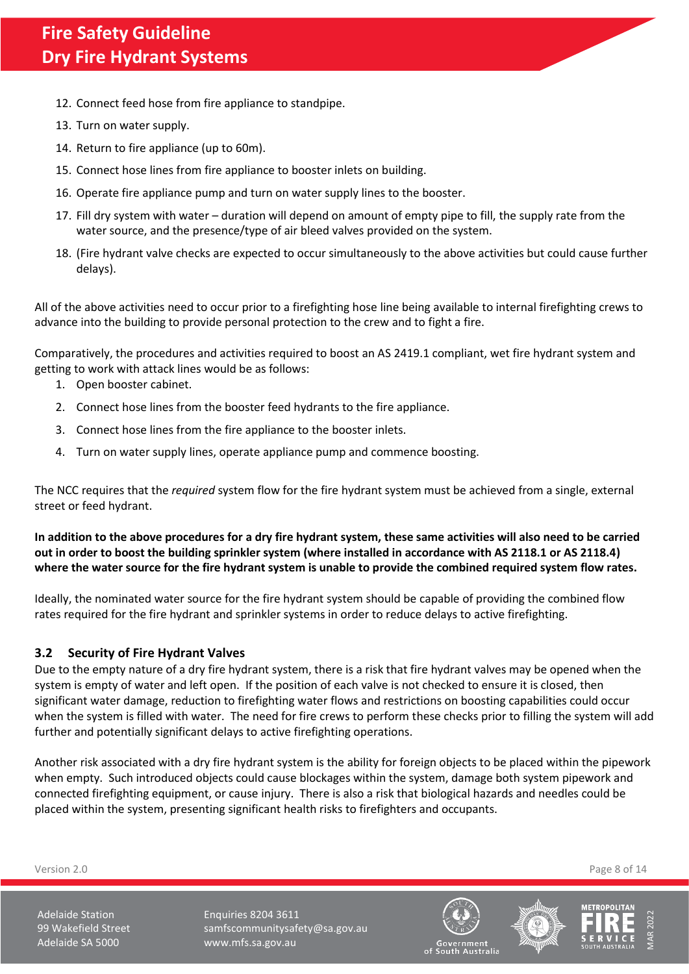- 12. Connect feed hose from fire appliance to standpipe.
- 13. Turn on water supply.
- 14. Return to fire appliance (up to 60m).
- 15. Connect hose lines from fire appliance to booster inlets on building.
- 16. Operate fire appliance pump and turn on water supply lines to the booster.
- 17. Fill dry system with water duration will depend on amount of empty pipe to fill, the supply rate from the water source, and the presence/type of air bleed valves provided on the system.
- 18. (Fire hydrant valve checks are expected to occur simultaneously to the above activities but could cause further delays).

All of the above activities need to occur prior to a firefighting hose line being available to internal firefighting crews to advance into the building to provide personal protection to the crew and to fight a fire.

Comparatively, the procedures and activities required to boost an AS 2419.1 compliant, wet fire hydrant system and getting to work with attack lines would be as follows:

- 1. Open booster cabinet.
- 2. Connect hose lines from the booster feed hydrants to the fire appliance.
- 3. Connect hose lines from the fire appliance to the booster inlets.
- 4. Turn on water supply lines, operate appliance pump and commence boosting.

The NCC requires that the *required* system flow for the fire hydrant system must be achieved from a single, external street or feed hydrant.

**In addition to the above procedures for a dry fire hydrant system, these same activities will also need to be carried out in order to boost the building sprinkler system (where installed in accordance with AS 2118.1 or AS 2118.4) where the water source for the fire hydrant system is unable to provide the combined required system flow rates.**

Ideally, the nominated water source for the fire hydrant system should be capable of providing the combined flow rates required for the fire hydrant and sprinkler systems in order to reduce delays to active firefighting.

### <span id="page-7-0"></span>**3.2 Security of Fire Hydrant Valves**

Due to the empty nature of a dry fire hydrant system, there is a risk that fire hydrant valves may be opened when the system is empty of water and left open. If the position of each valve is not checked to ensure it is closed, then significant water damage, reduction to firefighting water flows and restrictions on boosting capabilities could occur when the system is filled with water. The need for fire crews to perform these checks prior to filling the system will add further and potentially significant delays to active firefighting operations.

Another risk associated with a dry fire hydrant system is the ability for foreign objects to be placed within the pipework when empty. Such introduced objects could cause blockages within the system, damage both system pipework and connected firefighting equipment, or cause injury. There is also a risk that biological hazards and needles could be placed within the system, presenting significant health risks to firefighters and occupants.

Version 2.0 Page 8 of 14





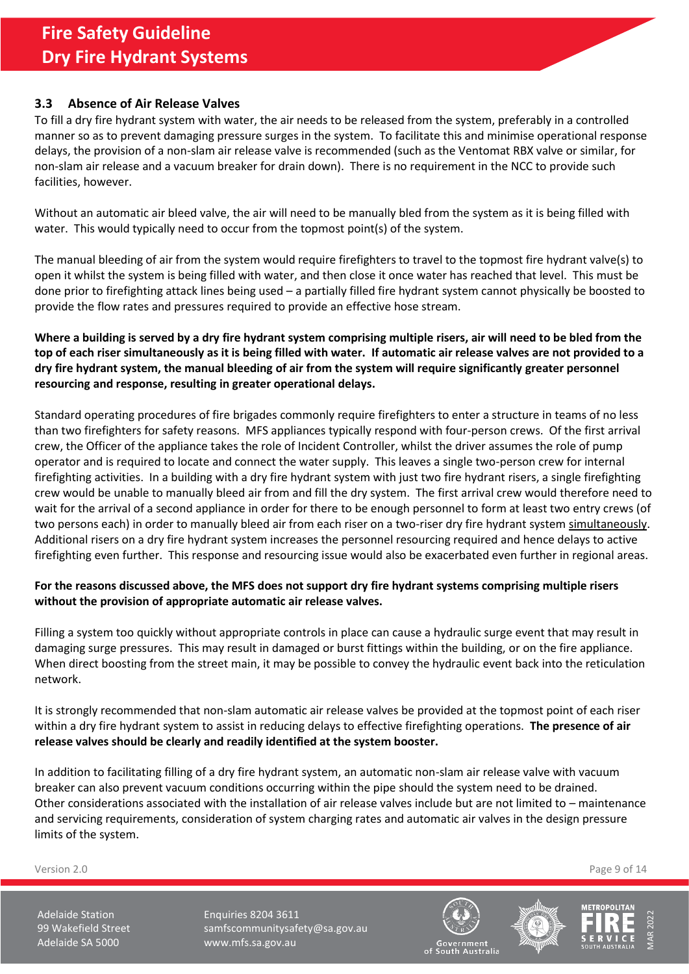## <span id="page-8-0"></span>**3.3 Absence of Air Release Valves**

To fill a dry fire hydrant system with water, the air needs to be released from the system, preferably in a controlled manner so as to prevent damaging pressure surges in the system. To facilitate this and minimise operational response delays, the provision of a non-slam air release valve is recommended (such as the Ventomat RBX valve or similar, for non-slam air release and a vacuum breaker for drain down). There is no requirement in the NCC to provide such facilities, however.

Without an automatic air bleed valve, the air will need to be manually bled from the system as it is being filled with water. This would typically need to occur from the topmost point(s) of the system.

The manual bleeding of air from the system would require firefighters to travel to the topmost fire hydrant valve(s) to open it whilst the system is being filled with water, and then close it once water has reached that level. This must be done prior to firefighting attack lines being used – a partially filled fire hydrant system cannot physically be boosted to provide the flow rates and pressures required to provide an effective hose stream.

**Where a building is served by a dry fire hydrant system comprising multiple risers, air will need to be bled from the top of each riser simultaneously as it is being filled with water. If automatic air release valves are not provided to a dry fire hydrant system, the manual bleeding of air from the system will require significantly greater personnel resourcing and response, resulting in greater operational delays.** 

Standard operating procedures of fire brigades commonly require firefighters to enter a structure in teams of no less than two firefighters for safety reasons. MFS appliances typically respond with four-person crews. Of the first arrival crew, the Officer of the appliance takes the role of Incident Controller, whilst the driver assumes the role of pump operator and is required to locate and connect the water supply. This leaves a single two-person crew for internal firefighting activities. In a building with a dry fire hydrant system with just two fire hydrant risers, a single firefighting crew would be unable to manually bleed air from and fill the dry system. The first arrival crew would therefore need to wait for the arrival of a second appliance in order for there to be enough personnel to form at least two entry crews (of two persons each) in order to manually bleed air from each riser on a two-riser dry fire hydrant system simultaneously. Additional risers on a dry fire hydrant system increases the personnel resourcing required and hence delays to active firefighting even further. This response and resourcing issue would also be exacerbated even further in regional areas.

### **For the reasons discussed above, the MFS does not support dry fire hydrant systems comprising multiple risers without the provision of appropriate automatic air release valves.**

Filling a system too quickly without appropriate controls in place can cause a hydraulic surge event that may result in damaging surge pressures. This may result in damaged or burst fittings within the building, or on the fire appliance. When direct boosting from the street main, it may be possible to convey the hydraulic event back into the reticulation network.

It is strongly recommended that non-slam automatic air release valves be provided at the topmost point of each riser within a dry fire hydrant system to assist in reducing delays to effective firefighting operations. **The presence of air release valves should be clearly and readily identified at the system booster.**

In addition to facilitating filling of a dry fire hydrant system, an automatic non-slam air release valve with vacuum breaker can also prevent vacuum conditions occurring within the pipe should the system need to be drained. Other considerations associated with the installation of air release valves include but are not limited to – maintenance and servicing requirements, consideration of system charging rates and automatic air valves in the design pressure limits of the system.

Version 2.0 Page 9 of 14





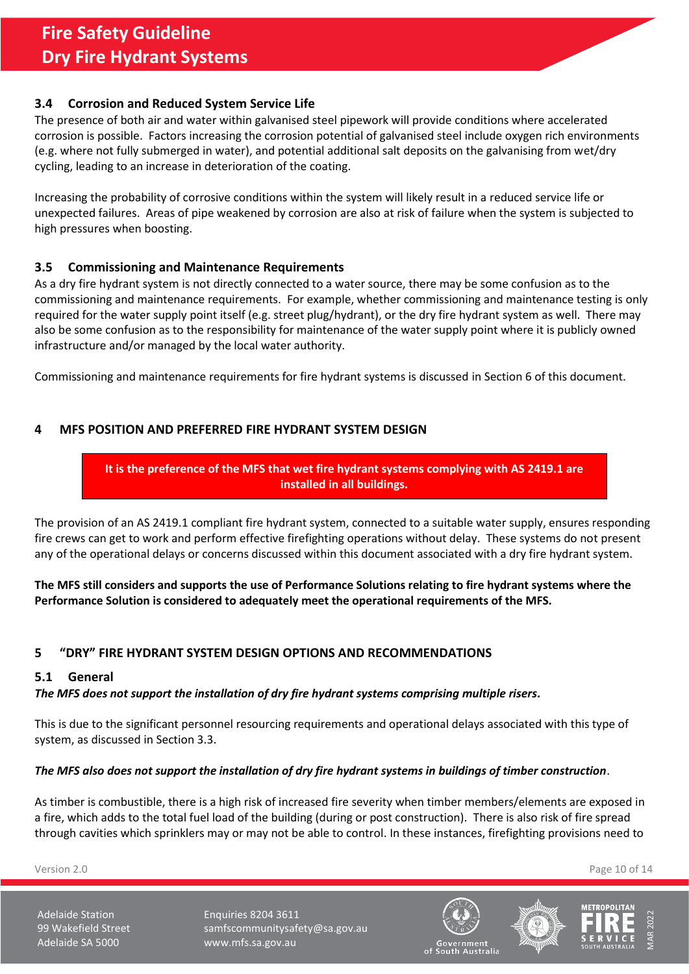### <span id="page-9-0"></span>**3.4 Corrosion and Reduced System Service Life**

The presence of both air and water within galvanised steel pipework will provide conditions where accelerated corrosion is possible. Factors increasing the corrosion potential of galvanised steel include oxygen rich environments (e.g. where not fully submerged in water), and potential additional salt deposits on the galvanising from wet/dry cycling, leading to an increase in deterioration of the coating.

Increasing the probability of corrosive conditions within the system will likely result in a reduced service life or unexpected failures. Areas of pipe weakened by corrosion are also at risk of failure when the system is subjected to high pressures when boosting.

### <span id="page-9-1"></span>**3.5 Commissioning and Maintenance Requirements**

As a dry fire hydrant system is not directly connected to a water source, there may be some confusion as to the commissioning and maintenance requirements. For example, whether commissioning and maintenance testing is only required for the water supply point itself (e.g. street plug/hydrant), or the dry fire hydrant system as well. There may also be some confusion as to the responsibility for maintenance of the water supply point where it is publicly owned infrastructure and/or managed by the local water authority.

Commissioning and maintenance requirements for fire hydrant systems is discussed in Section [6](#page-12-0) of this document.

## <span id="page-9-2"></span>**4 MFS POSITION AND PREFERRED FIRE HYDRANT SYSTEM DESIGN**

# **It is the preference of the MFS that wet fire hydrant systems complying with AS 2419.1 are installed in all buildings.**

The provision of an AS 2419.1 compliant fire hydrant system, connected to a suitable water supply, ensures responding fire crews can get to work and perform effective firefighting operations without delay. These systems do not present any of the operational delays or concerns discussed within this document associated with a dry fire hydrant system.

**The MFS still considers and supports the use of Performance Solutions relating to fire hydrant systems where the Performance Solution is considered to adequately meet the operational requirements of the MFS.**

### <span id="page-9-3"></span>**5 "DRY" FIRE HYDRANT SYSTEM DESIGN OPTIONS AND RECOMMENDATIONS**

#### <span id="page-9-4"></span>**5.1 General**

### *The MFS does not support the installation of dry fire hydrant systems comprising multiple risers.*

This is due to the significant personnel resourcing requirements and operational delays associated with this type of system, as discussed in Sectio[n 3.3.](#page-8-0)

#### *The MFS also does not support the installation of dry fire hydrant systems in buildings of timber construction*.

As timber is combustible, there is a high risk of increased fire severity when timber members/elements are exposed in a fire, which adds to the total fuel load of the building (during or post construction). There is also risk of fire spread through cavities which sprinklers may or may not be able to control. In these instances, firefighting provisions need to

Version 2.0 Page 10 of 14





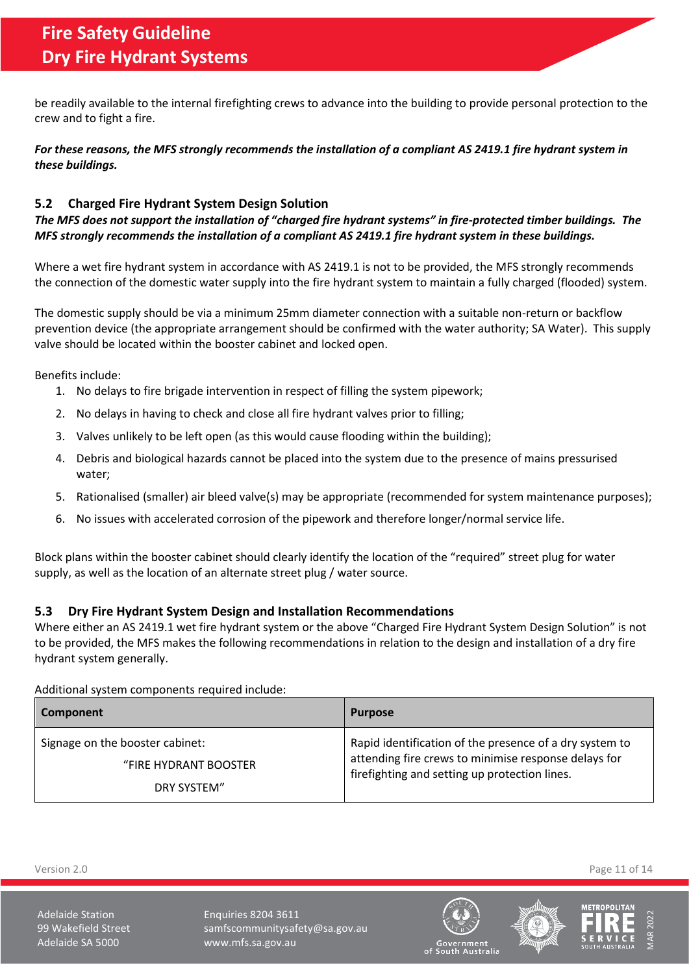be readily available to the internal firefighting crews to advance into the building to provide personal protection to the crew and to fight a fire.

For these reasons, the MFS strongly recommends the installation of a compliant AS 2419.1 fire hydrant system in *these buildings.*

# <span id="page-10-0"></span>**5.2 Charged Fire Hydrant System Design Solution**

*The MFS does not support the installation of "charged fire hydrant systems" in fire-protected timber buildings. The MFS strongly recommends the installation of a compliant AS 2419.1 fire hydrant system in these buildings.*

Where a wet fire hydrant system in accordance with AS 2419.1 is not to be provided, the MFS strongly recommends the connection of the domestic water supply into the fire hydrant system to maintain a fully charged (flooded) system.

The domestic supply should be via a minimum 25mm diameter connection with a suitable non-return or backflow prevention device (the appropriate arrangement should be confirmed with the water authority; SA Water). This supply valve should be located within the booster cabinet and locked open.

Benefits include:

- 1. No delays to fire brigade intervention in respect of filling the system pipework;
- 2. No delays in having to check and close all fire hydrant valves prior to filling;
- 3. Valves unlikely to be left open (as this would cause flooding within the building);
- 4. Debris and biological hazards cannot be placed into the system due to the presence of mains pressurised water;
- 5. Rationalised (smaller) air bleed valve(s) may be appropriate (recommended for system maintenance purposes);
- 6. No issues with accelerated corrosion of the pipework and therefore longer/normal service life.

Block plans within the booster cabinet should clearly identify the location of the "required" street plug for water supply, as well as the location of an alternate street plug / water source.

### <span id="page-10-1"></span>**5.3 Dry Fire Hydrant System Design and Installation Recommendations**

Where either an AS 2419.1 wet fire hydrant system or the above "Charged Fire Hydrant System Design Solution" is not to be provided, the MFS makes the following recommendations in relation to the design and installation of a dry fire hydrant system generally.

Additional system components required include:

| Component                            | <b>Purpose</b>                                                                                        |
|--------------------------------------|-------------------------------------------------------------------------------------------------------|
| Signage on the booster cabinet:      | Rapid identification of the presence of a dry system to                                               |
| "FIRE HYDRANT BOOSTER<br>DRY SYSTEM" | attending fire crews to minimise response delays for<br>firefighting and setting up protection lines. |

Version 2.0 Page 11 of 14





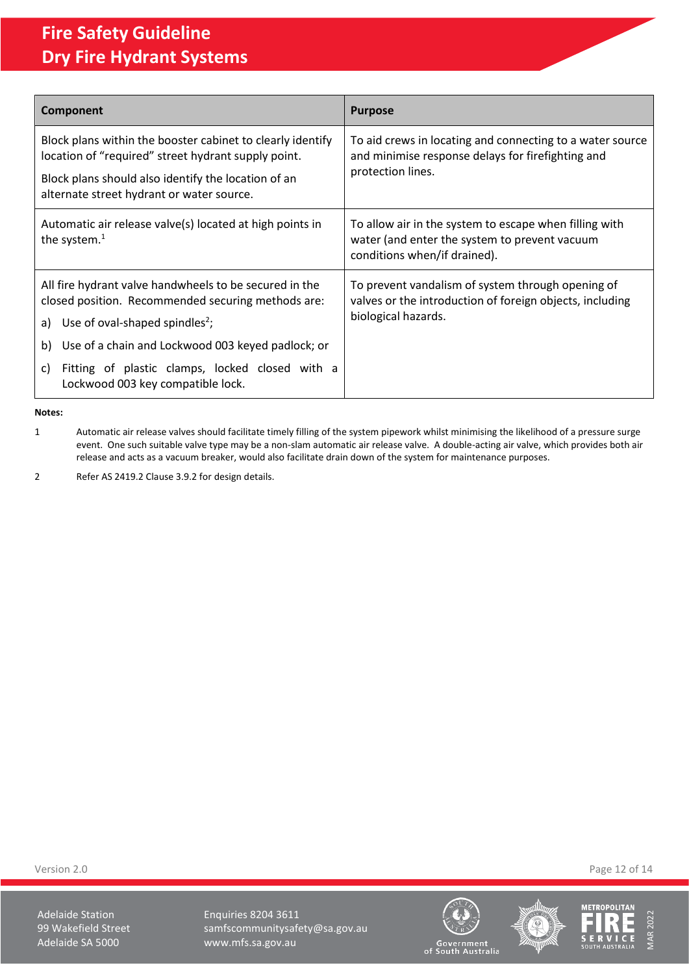| Component                                                                                                         | <b>Purpose</b>                                                                                                                          |  |
|-------------------------------------------------------------------------------------------------------------------|-----------------------------------------------------------------------------------------------------------------------------------------|--|
| Block plans within the booster cabinet to clearly identify<br>location of "required" street hydrant supply point. | To aid crews in locating and connecting to a water source<br>and minimise response delays for firefighting and<br>protection lines.     |  |
| Block plans should also identify the location of an<br>alternate street hydrant or water source.                  |                                                                                                                                         |  |
| Automatic air release valve(s) located at high points in<br>the system. $1$                                       | To allow air in the system to escape when filling with<br>water (and enter the system to prevent vacuum<br>conditions when/if drained). |  |
| All fire hydrant valve handwheels to be secured in the<br>closed position. Recommended securing methods are:      | To prevent vandalism of system through opening of<br>valves or the introduction of foreign objects, including                           |  |
| Use of oval-shaped spindles <sup>2</sup> ;<br>a)                                                                  | biological hazards.                                                                                                                     |  |
| Use of a chain and Lockwood 003 keyed padlock; or<br>b)                                                           |                                                                                                                                         |  |
| Fitting of plastic clamps, locked closed with a<br>C)<br>Lockwood 003 key compatible lock.                        |                                                                                                                                         |  |

**Notes:**

1 Automatic air release valves should facilitate timely filling of the system pipework whilst minimising the likelihood of a pressure surge event. One such suitable valve type may be a non-slam automatic air release valve. A double-acting air valve, which provides both air release and acts as a vacuum breaker, would also facilitate drain down of the system for maintenance purposes.

2 Refer AS 2419.2 Clause 3.9.2 for design details.

Adelaide Station **Enquiries 8204 3611** 99 Wakefield Street samfscommunitysafety@sa.gov.au<br>Adelaide SA 5000 www.mfs.sa.gov.au www.mfs.sa.gov.au







Government<br>of South Australia

Version 2.0 Page 12 of 14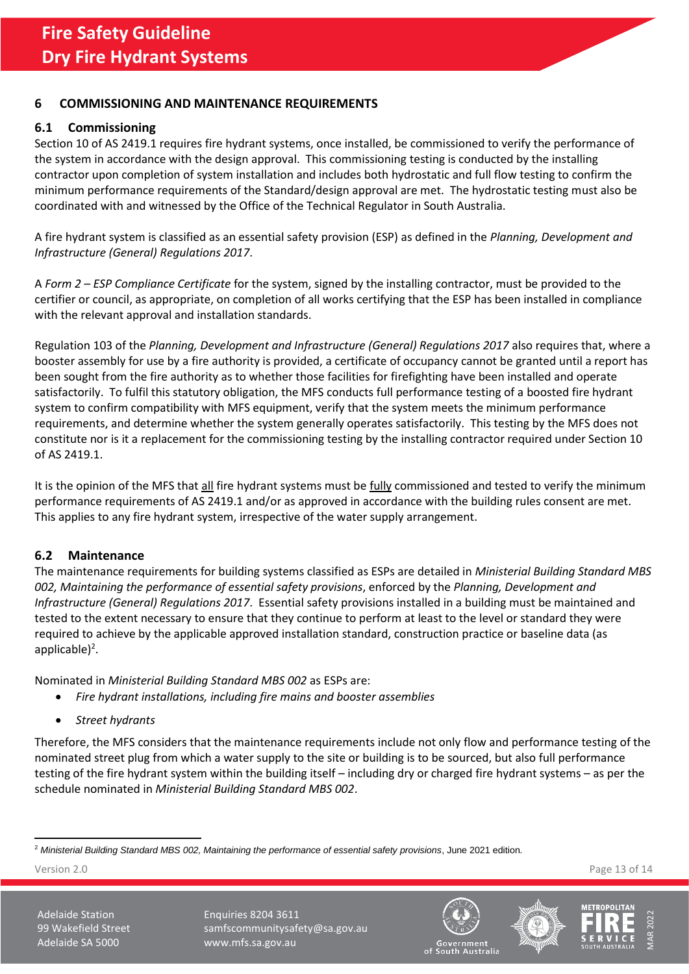## <span id="page-12-0"></span>**6 COMMISSIONING AND MAINTENANCE REQUIREMENTS**

# <span id="page-12-1"></span>**6.1 Commissioning**

Section 10 of AS 2419.1 requires fire hydrant systems, once installed, be commissioned to verify the performance of the system in accordance with the design approval. This commissioning testing is conducted by the installing contractor upon completion of system installation and includes both hydrostatic and full flow testing to confirm the minimum performance requirements of the Standard/design approval are met. The hydrostatic testing must also be coordinated with and witnessed by the Office of the Technical Regulator in South Australia.

A fire hydrant system is classified as an essential safety provision (ESP) as defined in the *Planning, Development and Infrastructure (General) Regulations 2017*.

A *Form 2 – ESP Compliance Certificate* for the system, signed by the installing contractor, must be provided to the certifier or council, as appropriate, on completion of all works certifying that the ESP has been installed in compliance with the relevant approval and installation standards.

Regulation 103 of the *Planning, Development and Infrastructure (General) Regulations 2017* also requires that, where a booster assembly for use by a fire authority is provided, a certificate of occupancy cannot be granted until a report has been sought from the fire authority as to whether those facilities for firefighting have been installed and operate satisfactorily. To fulfil this statutory obligation, the MFS conducts full performance testing of a boosted fire hydrant system to confirm compatibility with MFS equipment, verify that the system meets the minimum performance requirements, and determine whether the system generally operates satisfactorily. This testing by the MFS does not constitute nor is it a replacement for the commissioning testing by the installing contractor required under Section 10 of AS 2419.1.

It is the opinion of the MFS that all fire hydrant systems must be fully commissioned and tested to verify the minimum performance requirements of AS 2419.1 and/or as approved in accordance with the building rules consent are met. This applies to any fire hydrant system, irrespective of the water supply arrangement.

### <span id="page-12-2"></span>**6.2 Maintenance**

The maintenance requirements for building systems classified as ESPs are detailed in *Ministerial Building Standard MBS 002, Maintaining the performance of essential safety provisions*, enforced by the *Planning, Development and Infrastructure (General) Regulations 2017*. Essential safety provisions installed in a building must be maintained and tested to the extent necessary to ensure that they continue to perform at least to the level or standard they were required to achieve by the applicable approved installation standard, construction practice or baseline data (as applicable)<sup>2</sup>.

Nominated in *Ministerial Building Standard MBS 002* as ESPs are:

- *Fire hydrant installations, including fire mains and booster assemblies*
- *Street hydrants*

Therefore, the MFS considers that the maintenance requirements include not only flow and performance testing of the nominated street plug from which a water supply to the site or building is to be sourced, but also full performance testing of the fire hydrant system within the building itself – including dry or charged fire hydrant systems – as per the schedule nominated in *Ministerial Building Standard MBS 002*.

Version 2.0 Page 13 of 14







<sup>2</sup> *Ministerial Building Standard MBS 002, Maintaining the performance of essential safety provisions*, June 2021 edition*.*